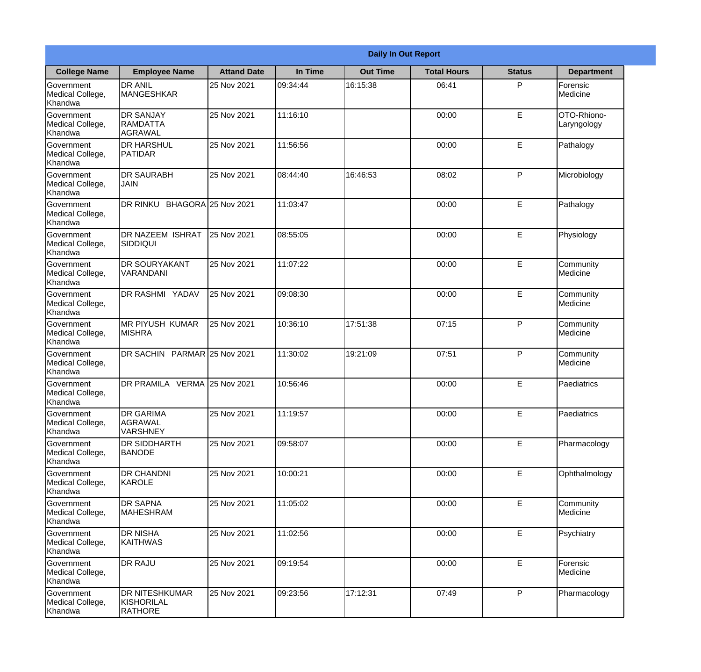|                                                  | <b>Daily In Out Report</b>                            |                    |          |                 |                    |               |                            |
|--------------------------------------------------|-------------------------------------------------------|--------------------|----------|-----------------|--------------------|---------------|----------------------------|
| <b>College Name</b>                              | <b>Employee Name</b>                                  | <b>Attand Date</b> | In Time  | <b>Out Time</b> | <b>Total Hours</b> | <b>Status</b> | <b>Department</b>          |
| Government<br>Medical College,<br>Khandwa        | <b>DR ANIL</b><br><b>MANGESHKAR</b>                   | 25 Nov 2021        | 09:34:44 | 16:15:38        | 06:41              | P             | Forensic<br>Medicine       |
| Government<br>Medical College,<br>Khandwa        | <b>DR SANJAY</b><br>RAMDATTA<br>AGRAWAL               | 25 Nov 2021        | 11:16:10 |                 | 00:00              | E             | OTO-Rhiono-<br>Laryngology |
| Government<br>Medical College,<br>Khandwa        | <b>DR HARSHUL</b><br><b>PATIDAR</b>                   | 25 Nov 2021        | 11:56:56 |                 | 00:00              | E             | Pathalogy                  |
| <b>Government</b><br>Medical College,<br>Khandwa | <b>DR SAURABH</b><br><b>JAIN</b>                      | 25 Nov 2021        | 08:44:40 | 16:46:53        | 08:02              | P             | Microbiology               |
| Government<br>Medical College,<br>Khandwa        | DR RINKU BHAGORA 25 Nov 2021                          |                    | 11:03:47 |                 | 00:00              | E             | Pathalogy                  |
| Government<br>Medical College,<br>Khandwa        | DR NAZEEM ISHRAT<br><b>SIDDIQUI</b>                   | 25 Nov 2021        | 08:55:05 |                 | 00:00              | E             | Physiology                 |
| <b>Government</b><br>Medical College,<br>Khandwa | <b>DR SOURYAKANT</b><br>VARANDANI                     | 25 Nov 2021        | 11:07:22 |                 | 00:00              | E             | Community<br>Medicine      |
| <b>Government</b><br>Medical College,<br>Khandwa | <b>DR RASHMI YADAV</b>                                | 25 Nov 2021        | 09:08:30 |                 | 00:00              | E             | Community<br>Medicine      |
| Government<br>Medical College,<br>Khandwa        | <b>MR PIYUSH KUMAR</b><br><b>MISHRA</b>               | 25 Nov 2021        | 10:36:10 | 17:51:38        | 07:15              | P             | Community<br>Medicine      |
| Government<br>Medical College,<br>Khandwa        | DR SACHIN PARMAR 25 Nov 2021                          |                    | 11:30:02 | 19:21:09        | 07:51              | P             | Community<br>Medicine      |
| Government<br>Medical College,<br>Khandwa        | DR PRAMILA VERMA 25 Nov 2021                          |                    | 10:56:46 |                 | 00:00              | E             | Paediatrics                |
| Government<br>Medical College,<br>Khandwa        | <b>DR GARIMA</b><br>AGRAWAL<br><b>VARSHNEY</b>        | 25 Nov 2021        | 11:19:57 |                 | 00:00              | E             | Paediatrics                |
| Government<br>Medical College,<br>Khandwa        | <b>DR SIDDHARTH</b><br><b>BANODE</b>                  | 25 Nov 2021        | 09:58:07 |                 | 00:00              | E             | Pharmacology               |
| Government<br>Medical College,<br>Khandwa        | <b>DR CHANDNI</b><br>KAROLE                           | 25 Nov 2021        | 10:00:21 |                 | 00:00              | E             | Ophthalmology              |
| Government<br>Medical College,<br>Khandwa        | <b>DR SAPNA</b><br><b>MAHESHRAM</b>                   | 25 Nov 2021        | 11:05:02 |                 | 00:00              | E             | Community<br>Medicine      |
| Government<br>Medical College,<br>Khandwa        | <b>DR NISHA</b><br>KAITHWAS                           | 25 Nov 2021        | 11:02:56 |                 | 00:00              | E             | Psychiatry                 |
| Government<br>Medical College,<br>Khandwa        | <b>DR RAJU</b>                                        | 25 Nov 2021        | 09:19:54 |                 | 00:00              | E             | Forensic<br>Medicine       |
| Government<br>Medical College,<br>Khandwa        | <b>DR NITESHKUMAR</b><br>KISHORILAL<br><b>RATHORE</b> | 25 Nov 2021        | 09:23:56 | 17:12:31        | 07:49              | P             | Pharmacology               |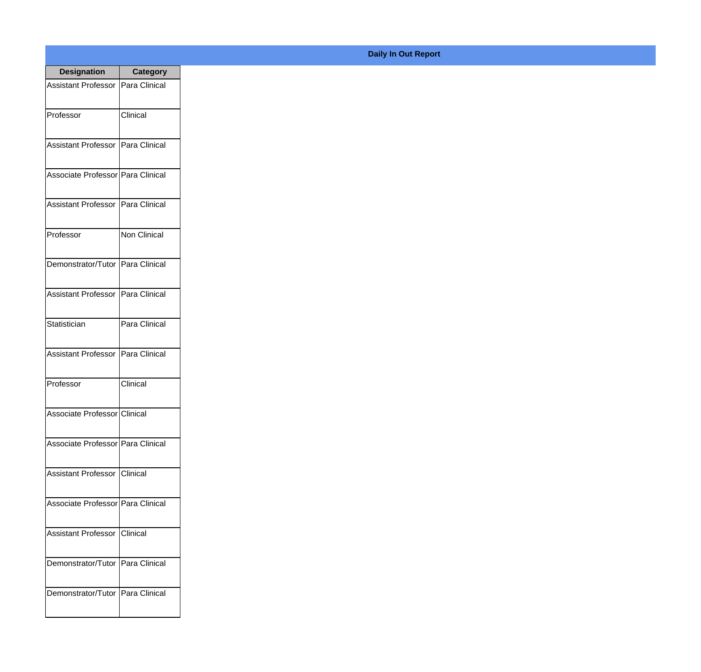| <b>Designation</b>                  | <b>Category</b> |
|-------------------------------------|-----------------|
| Assistant Professor   Para Clinical |                 |
| Professor                           | Clinical        |
| Assistant Professor Para Clinical   |                 |
| Associate Professor   Para Clinical |                 |
| <b>Assistant Professor</b>          | Para Clinical   |
| Professor                           | Non Clinical    |
| Demonstrator/Tutor   Para Clinical  |                 |
| Assistant Professor   Para Clinical |                 |
| Statistician                        | Para Clinical   |
| <b>Assistant Professor</b>          | Para Clinical   |
| Professor                           | Clinical        |
| Associate Professor Clinical        |                 |
| Associate Professor   Para Clinical |                 |
| Assistant Professor   Clinical      |                 |
| Associate Professor Para Clinical   |                 |
| <b>Assistant Professor</b>          | Clinical        |
| Demonstrator/Tutor   Para Clinical  |                 |
| Demonstrator/Tutor   Para Clinical  |                 |

## **Daily In Out Report**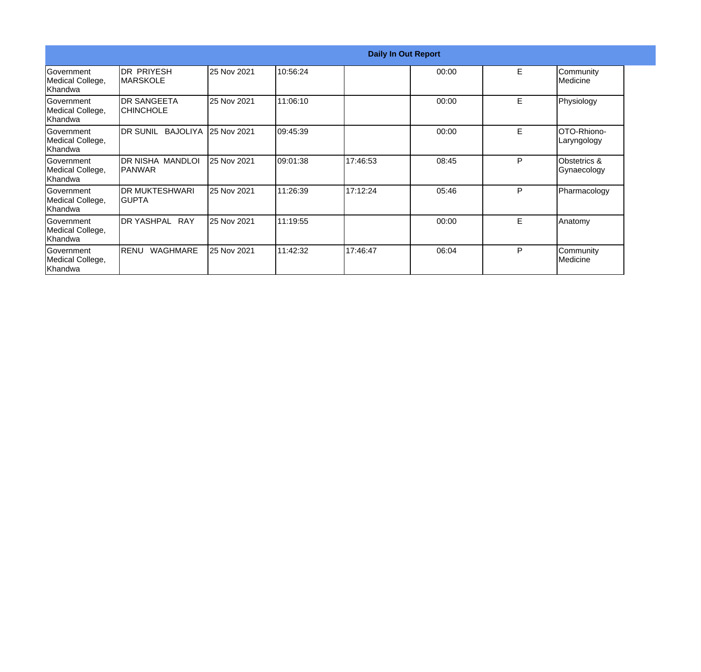|                                                   |                                    | <b>Daily In Out Report</b> |          |          |       |   |                             |
|---------------------------------------------------|------------------------------------|----------------------------|----------|----------|-------|---|-----------------------------|
| <b>Government</b><br>Medical College,<br> Khandwa | IDR PRIYESH<br><b>IMARSKOLE</b>    | 25 Nov 2021                | 10:56:24 |          | 00:00 | E | Community<br>Medicine       |
| lGovernment<br>Medical College,<br> Khandwa       | <b>IDR SANGEETA</b><br>ICHINCHOLE  | 25 Nov 2021                | 11:06:10 |          | 00:00 | E | Physiology                  |
| Government<br>Medical College,<br> Khandwa        | DR SUNIL BAJOLIYA                  | 25 Nov 2021                | 09:45:39 |          | 00:00 | E | OTO-Rhiono-<br>Laryngology  |
| Government<br>Medical College,<br>Khandwa         | DR NISHA MANDLOI<br><b>IPANWAR</b> | 25 Nov 2021                | 09:01:38 | 17:46:53 | 08:45 | P | Obstetrics &<br>Gynaecology |
| <b>Government</b><br>Medical College,<br>Khandwa  | IDR MUKTESHWARI<br>IGUPTA          | 25 Nov 2021                | 11:26:39 | 17:12:24 | 05:46 | P | Pharmacology                |
| Government<br>Medical College,<br>Khandwa         | <b>I</b> DR YASHPAL<br><b>RAY</b>  | 25 Nov 2021                | 11:19:55 |          | 00:00 | E | Anatomy                     |
| lGovernment<br>Medical College,<br>Khandwa        | RENU<br>WAGHMARE                   | 25 Nov 2021                | 11:42:32 | 17:46:47 | 06:04 | P | Community<br>Medicine       |